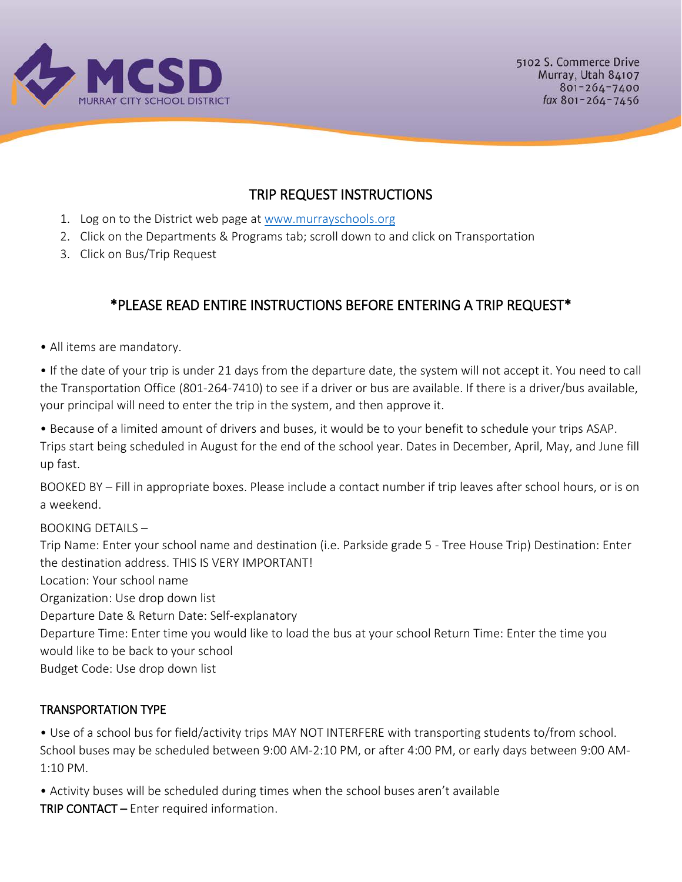

## TRIP REQUEST INSTRUCTIONS

- 1. Log on to the District web page at [www.murrayschools.org](http://www.murrayschools.org/)
- 2. Click on the Departments & Programs tab; scroll down to and click on Transportation
- 3. Click on Bus/Trip Request

# \*PLEASE READ ENTIRE INSTRUCTIONS BEFORE ENTERING A TRIP REQUEST\*

• All items are mandatory.

• If the date of your trip is under 21 days from the departure date, the system will not accept it. You need to call the Transportation Office (801-264-7410) to see if a driver or bus are available. If there is a driver/bus available, your principal will need to enter the trip in the system, and then approve it.

• Because of a limited amount of drivers and buses, it would be to your benefit to schedule your trips ASAP. Trips start being scheduled in August for the end of the school year. Dates in December, April, May, and June fill up fast.

BOOKED BY – Fill in appropriate boxes. Please include a contact number if trip leaves after school hours, or is on a weekend.

#### BOOKING DETAILS –

Trip Name: Enter your school name and destination (i.e. Parkside grade 5 - Tree House Trip) Destination: Enter the destination address. THIS IS VERY IMPORTANT!

Location: Your school name

Organization: Use drop down list

Departure Date & Return Date: Self-explanatory

Departure Time: Enter time you would like to load the bus at your school Return Time: Enter the time you would like to be back to your school

Budget Code: Use drop down list

#### TRANSPORTATION TYPE

• Use of a school bus for field/activity trips MAY NOT INTERFERE with transporting students to/from school. School buses may be scheduled between 9:00 AM-2:10 PM, or after 4:00 PM, or early days between 9:00 AM-1:10 PM.

• Activity buses will be scheduled during times when the school buses aren't available TRIP CONTACT – Enter required information.